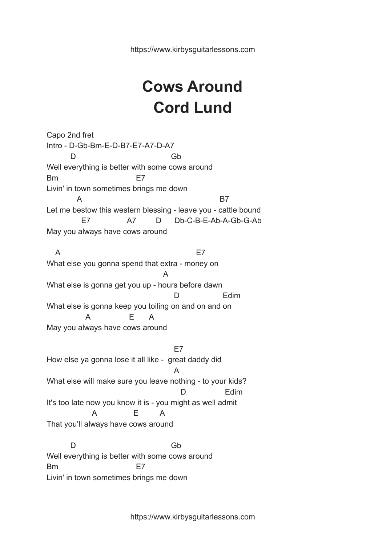## **Cows Around Cord Lund**

Capo 2nd fret Intro - D-Gb-Bm-E-D-B7-E7-A7-D-A7 D Gb Well everything is better with some cows around Bm E7 Livin' in town sometimes brings me down A B7 Let me bestow this western blessing - leave you - cattle bound E7 A7 D Db-C-B-E-Ab-A-Gb-G-Ab May you always have cows around A E7 What else you gonna spend that extra - money on A What else is gonna get you up - hours before dawn D Edim What else is gonna keep you toiling on and on and on A E A May you always have cows around E7 How else ya gonna lose it all like - great daddy did A What else will make sure you leave nothing - to your kids? D Edim It's too late now you know it is - you might as well admit A E A That you'll always have cows around

D Gb Well everything is better with some cows around Bm E7 Livin' in town sometimes brings me down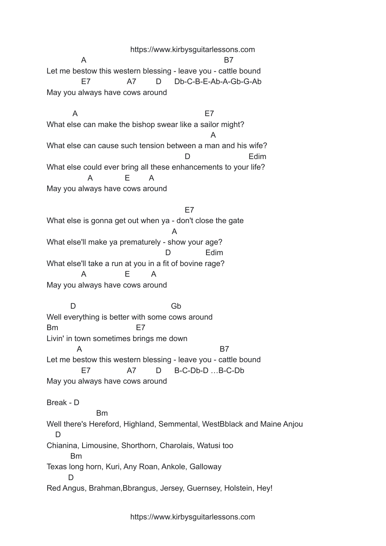https://www.kirbysguitarlessons.com A B7 Let me bestow this western blessing - leave you - cattle bound E7 A7 D Db-C-B-E-Ab-A-Gb-G-Ab May you always have cows around

A E7 What else can make the bishop swear like a sailor might? A What else can cause such tension between a man and his wife? D Fdim What else could ever bring all these enhancements to your life? A E A May you always have cows around

E7 What else is gonna get out when ya - don't close the gate A What else'll make ya prematurely - show your age? D Edim What else'll take a run at you in a fit of bovine rage? A E A May you always have cows around

D Gb Well everything is better with some cows around Bm E7 Livin' in town sometimes brings me down A B7 Let me bestow this western blessing - leave you - cattle bound E7 A7 D B-C-Db-D …B-C-Db May you always have cows around Break - D

Bm Well there's Hereford, Highland, Semmental, WestBblack and Maine Anjou D Chianina, Limousine, Shorthorn, Charolais, Watusi too Bm Texas long horn, Kuri, Any Roan, Ankole, Galloway D Red Angus, Brahman,Bbrangus, Jersey, Guernsey, Holstein, Hey!